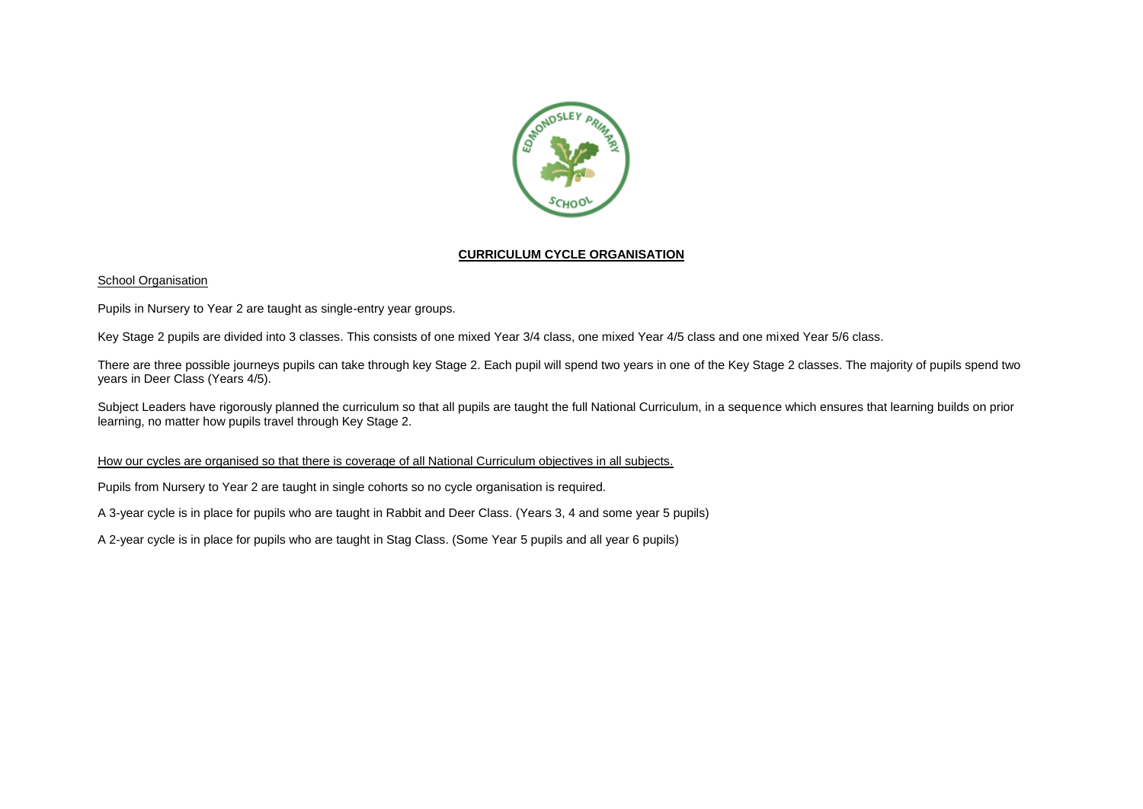

#### **CURRICULUM CYCLE ORGANISATION**

#### School Organisation

Pupils in Nursery to Year 2 are taught as single-entry year groups.

Key Stage 2 pupils are divided into 3 classes. This consists of one mixed Year 3/4 class, one mixed Year 4/5 class and one mixed Year 5/6 class.

There are three possible journeys pupils can take through key Stage 2. Each pupil will spend two years in one of the Key Stage 2 classes. The majority of pupils spend two years in Deer Class (Years 4/5).

Subject Leaders have rigorously planned the curriculum so that all pupils are taught the full National Curriculum, in a sequence which ensures that learning builds on prior learning, no matter how pupils travel through Key Stage 2.

#### How our cycles are organised so that there is coverage of all National Curriculum objectives in all subjects.

Pupils from Nursery to Year 2 are taught in single cohorts so no cycle organisation is required.

A 3-year cycle is in place for pupils who are taught in Rabbit and Deer Class. (Years 3, 4 and some year 5 pupils)

A 2-year cycle is in place for pupils who are taught in Stag Class. (Some Year 5 pupils and all year 6 pupils)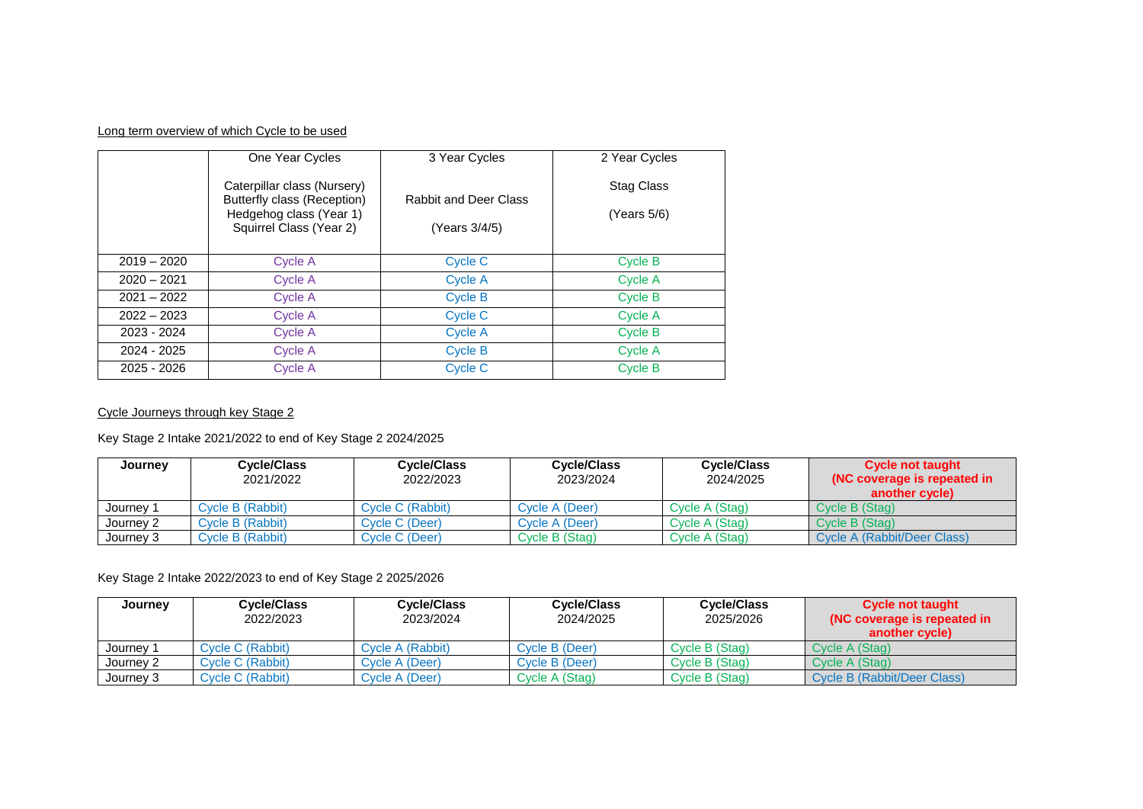## Long term overview of which Cycle to be used

|               | One Year Cycles                                            | 3 Year Cycles                | 2 Year Cycles     |
|---------------|------------------------------------------------------------|------------------------------|-------------------|
|               | Caterpillar class (Nursery)<br>Butterfly class (Reception) | <b>Rabbit and Deer Class</b> | <b>Stag Class</b> |
|               | Hedgehog class (Year 1)<br>Squirrel Class (Year 2)         | (Years 3/4/5)                | (Years 5/6)       |
| $2019 - 2020$ | Cycle A                                                    | Cycle C                      | Cycle B           |
| $2020 - 2021$ | Cycle A                                                    | Cycle A                      | Cycle A           |
| $2021 - 2022$ | Cycle A                                                    | <b>Cycle B</b>               | Cycle B           |
| $2022 - 2023$ | Cycle A                                                    | <b>Cycle C</b>               | Cycle A           |
| 2023 - 2024   | Cycle A                                                    | <b>Cycle A</b>               | Cycle B           |
| 2024 - 2025   | Cycle A                                                    | <b>Cycle B</b>               | Cycle A           |
| 2025 - 2026   | Cycle A                                                    | <b>Cycle C</b>               | Cycle B           |

# Cycle Journeys through key Stage 2

Key Stage 2 Intake 2021/2022 to end of Key Stage 2 2024/2025

| Journey   | Cvcle/Class<br>2021/2022 | Cvcle/Class<br>2022/2023 | Cycle/Class<br>2023/2024 | Cycle/Class<br>2024/2025 | <b>Cycle not taught</b><br>(NC coverage is repeated in<br>another cycle) |
|-----------|--------------------------|--------------------------|--------------------------|--------------------------|--------------------------------------------------------------------------|
| Journey 1 | Cvcle B (Rabbit)         | Cycle C (Rabbit)         | Cycle A (Deer)           | Cycle A (Stag)           | Cvcle B (Stag)                                                           |
| Journey 2 | Cvcle B (Rabbit)         | Cvcle C (Deer)           | Cvcle A (Deer)           | Cycle A (Stag)           | Cycle B (Stag)                                                           |
| Journey 3 | Cycle B (Rabbit)         | Cycle C (Deer)           | Cycle B (Stag)           | Cycle A (Stag)           | Cycle A (Rabbit/Deer Class)                                              |

# Key Stage 2 Intake 2022/2023 to end of Key Stage 2 2025/2026

| Journey   | Cvcle/Class<br>2022/2023 | Cycle/Class<br>2023/2024 | <b>Cycle/Class</b><br>2024/2025 | <b>Cycle/Class</b><br>2025/2026 | <b>Cycle not taught</b><br>(NC coverage is repeated in<br>another cycle) |
|-----------|--------------------------|--------------------------|---------------------------------|---------------------------------|--------------------------------------------------------------------------|
| Journey 1 | Cycle C (Rabbit)         | Cycle A (Rabbit)         | Cycle B (Deer)                  | Cycle B (Stag)                  | Cycle A (Stag)                                                           |
| Journey 2 | Cycle C (Rabbit)         | Cycle A (Deer)           | Cycle B (Deer)                  | Cycle B (Stag)                  | Cycle A (Stag)                                                           |
| Journey 3 | Cycle C (Rabbit)         | Cycle A (Deer)           | Cycle A (Stag)                  | Cycle B (Stag)                  | Cycle B (Rabbit/Deer Class)                                              |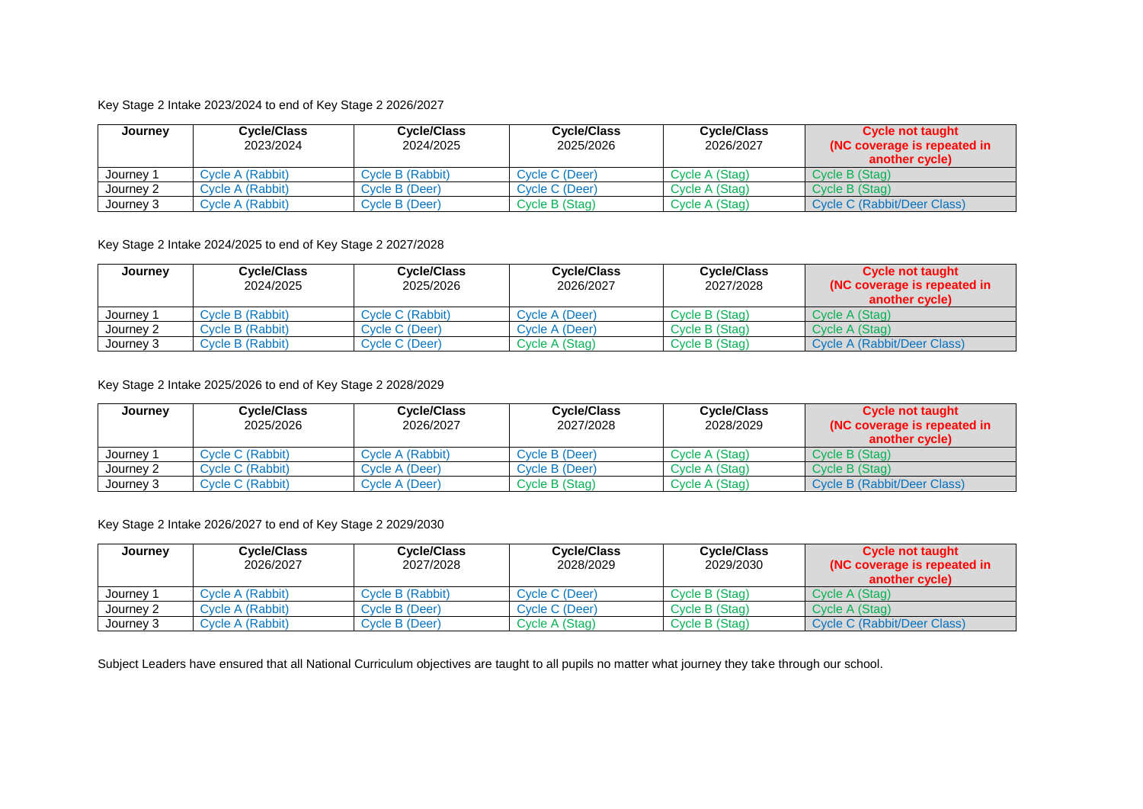### Key Stage 2 Intake 2023/2024 to end of Key Stage 2 2026/2027

| <b>Journey</b> | Cvcle/Class<br>2023/2024 | Cvcle/Class<br>2024/2025 | Cycle/Class<br>2025/2026 | Cycle/Class<br>2026/2027 | <b>Cycle not taught</b><br>(NC coverage is repeated in<br>another cycle) |
|----------------|--------------------------|--------------------------|--------------------------|--------------------------|--------------------------------------------------------------------------|
| Journey 1      | Cycle A (Rabbit)         | Cycle B (Rabbit)         | Cvcle C (Deer)           | Cycle A (Stag)           | Cycle B (Stag)                                                           |
| Journev 2      | Cycle A (Rabbit)         | Cycle B (Deer)           | Cvcle C (Deer)           | Cycle A (Stag)           | Cycle B (Stag)                                                           |
| Journey 3      | Cycle A (Rabbit)         | Cycle B (Deer)           | Cycle B (Stag)           | Cycle A (Stag)           | Cycle C (Rabbit/Deer Class)                                              |

## Key Stage 2 Intake 2024/2025 to end of Key Stage 2 2027/2028

| <b>Journey</b> | Cycle/Class<br>2024/2025 | Cycle/Class<br>2025/2026 | <b>Cycle/Class</b><br>2026/2027 | Cycle/Class<br>2027/2028 | <b>Cycle not taught</b><br>(NC coverage is repeated in<br>another cycle) |
|----------------|--------------------------|--------------------------|---------------------------------|--------------------------|--------------------------------------------------------------------------|
| Journey '      | Cycle B (Rabbit)         | Cycle C (Rabbit)         | Cycle A (Deer)                  | Cycle B (Stag)           | Cycle A (Stag)                                                           |
| Journey 2      | Cycle B (Rabbit)         | Cycle C (Deer)           | Cycle A (Deer)                  | Cycle B (Stag)           | Cycle A (Stag)                                                           |
| Journey 3      | Cycle B (Rabbit)         | Cvcle C (Deer)           | Cycle A (Stag)                  | Cycle B (Stag)           | Cycle A (Rabbit/Deer Class)                                              |

## Key Stage 2 Intake 2025/2026 to end of Key Stage 2 2028/2029

| Journey   | Cvcle/Class<br>2025/2026 | Cvcle/Class<br>2026/2027 | <b>Cycle/Class</b><br>2027/2028 | Cycle/Class<br>2028/2029 | <b>Cycle not taught</b><br>(NC coverage is repeated in<br>another cycle) |
|-----------|--------------------------|--------------------------|---------------------------------|--------------------------|--------------------------------------------------------------------------|
| Journey 1 | Cycle C (Rabbit)         | Cycle A (Rabbit)         | Cycle B (Deer)                  | Cycle A (Stag)           | Cycle B (Stag)                                                           |
| Journey 2 | Cycle C (Rabbit)         | Cycle A (Deer)           | Cycle B (Deer)                  | Cycle A (Stag)           | Cycle B (Stag)                                                           |
| Journev 3 | Cycle C (Rabbit)         | Cycle A (Deer)           | Cycle B (Stag)                  | Cycle A (Stag)           | Cycle B (Rabbit/Deer Class)                                              |

## Key Stage 2 Intake 2026/2027 to end of Key Stage 2 2029/2030

| Journey   | Cvcle/Class<br>2026/2027 | Cvcle/Class<br>2027/2028 | Cycle/Class<br>2028/2029 | Cycle/Class<br>2029/2030 | <b>Cycle not taught</b><br>(NC coverage is repeated in<br>another cycle) |
|-----------|--------------------------|--------------------------|--------------------------|--------------------------|--------------------------------------------------------------------------|
| Journey 1 | Cvcle A (Rabbit)         | Cycle B (Rabbit)         | Cvcle C (Deer)           | Cycle B (Stag)           | Cycle A (Stag)                                                           |
| Journey 2 | Cvcle A (Rabbit)         | Cvcle B (Deer).          | Cvcle C (Deer)           | Cycle B (Stag)           | Cycle A (Stag)                                                           |
| Journey 3 | Cycle A (Rabbit)         | Cycle B (Deer)           | Cycle A (Stag)           | Cycle B (Stag)           | Cycle C (Rabbit/Deer Class)                                              |

Subject Leaders have ensured that all National Curriculum objectives are taught to all pupils no matter what journey they take through our school.